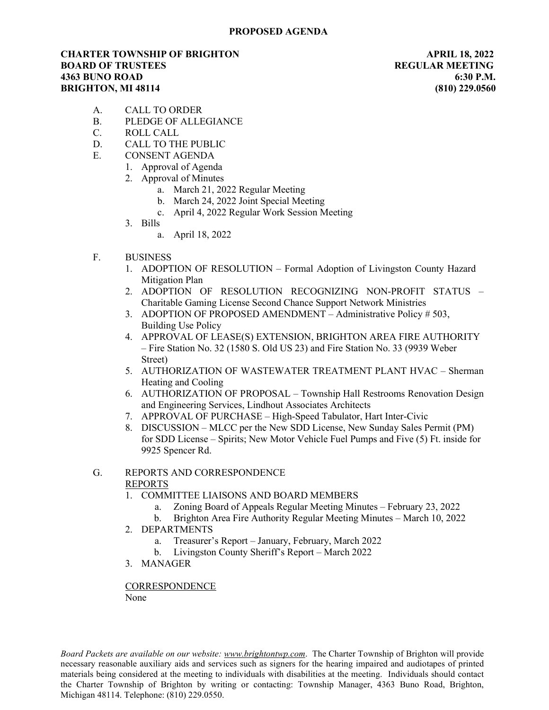## CHARTER TOWNSHIP OF BRIGHTON APRIL 18, 2022 **BOARD OF TRUSTEES REGULAR MEETING** 4363 BUNO ROAD 6:30 P.M. BRIGHTON, MI 48114 (810) 229.0560

- A. CALL TO ORDER
- B. PLEDGE OF ALLEGIANCE
- C. ROLL CALL
- D. CALL TO THE PUBLIC
- E. CONSENT AGENDA
	- 1. Approval of Agenda
	- 2. Approval of Minutes
		- a. March 21, 2022 Regular Meeting
		- b. March 24, 2022 Joint Special Meeting
		- c. April 4, 2022 Regular Work Session Meeting
	- 3. Bills
		- a. April 18, 2022
- F. BUSINESS
	- 1. ADOPTION OF RESOLUTION Formal Adoption of Livingston County Hazard Mitigation Plan
	- 2. ADOPTION OF RESOLUTION RECOGNIZING NON-PROFIT STATUS Charitable Gaming License Second Chance Support Network Ministries
	- 3. ADOPTION OF PROPOSED AMENDMENT Administrative Policy # 503, Building Use Policy
	- 4. APPROVAL OF LEASE(S) EXTENSION, BRIGHTON AREA FIRE AUTHORITY – Fire Station No. 32 (1580 S. Old US 23) and Fire Station No. 33 (9939 Weber Street)
	- 5. AUTHORIZATION OF WASTEWATER TREATMENT PLANT HVAC Sherman Heating and Cooling
	- 6. AUTHORIZATION OF PROPOSAL Township Hall Restrooms Renovation Design and Engineering Services, Lindhout Associates Architects
	- 7. APPROVAL OF PURCHASE High-Speed Tabulator, Hart Inter-Civic
	- 8. DISCUSSION MLCC per the New SDD License, New Sunday Sales Permit (PM) for SDD License – Spirits; New Motor Vehicle Fuel Pumps and Five (5) Ft. inside for 9925 Spencer Rd.

### G. REPORTS AND CORRESPONDENCE REPORTS

- 1. COMMITTEE LIAISONS AND BOARD MEMBERS
	- a. Zoning Board of Appeals Regular Meeting Minutes February 23, 2022
	- b. Brighton Area Fire Authority Regular Meeting Minutes March 10, 2022
- 2. DEPARTMENTS
	- a. Treasurer's Report January, February, March 2022
	- b. Livingston County Sheriff's Report March 2022
- 3. MANAGER

#### **CORRESPONDENCE** None

Board Packets are available on our website: www.brightontwp.com. The Charter Township of Brighton will provide necessary reasonable auxiliary aids and services such as signers for the hearing impaired and audiotapes of printed materials being considered at the meeting to individuals with disabilities at the meeting. Individuals should contact the Charter Township of Brighton by writing or contacting: Township Manager, 4363 Buno Road, Brighton, Michigan 48114. Telephone: (810) 229.0550.